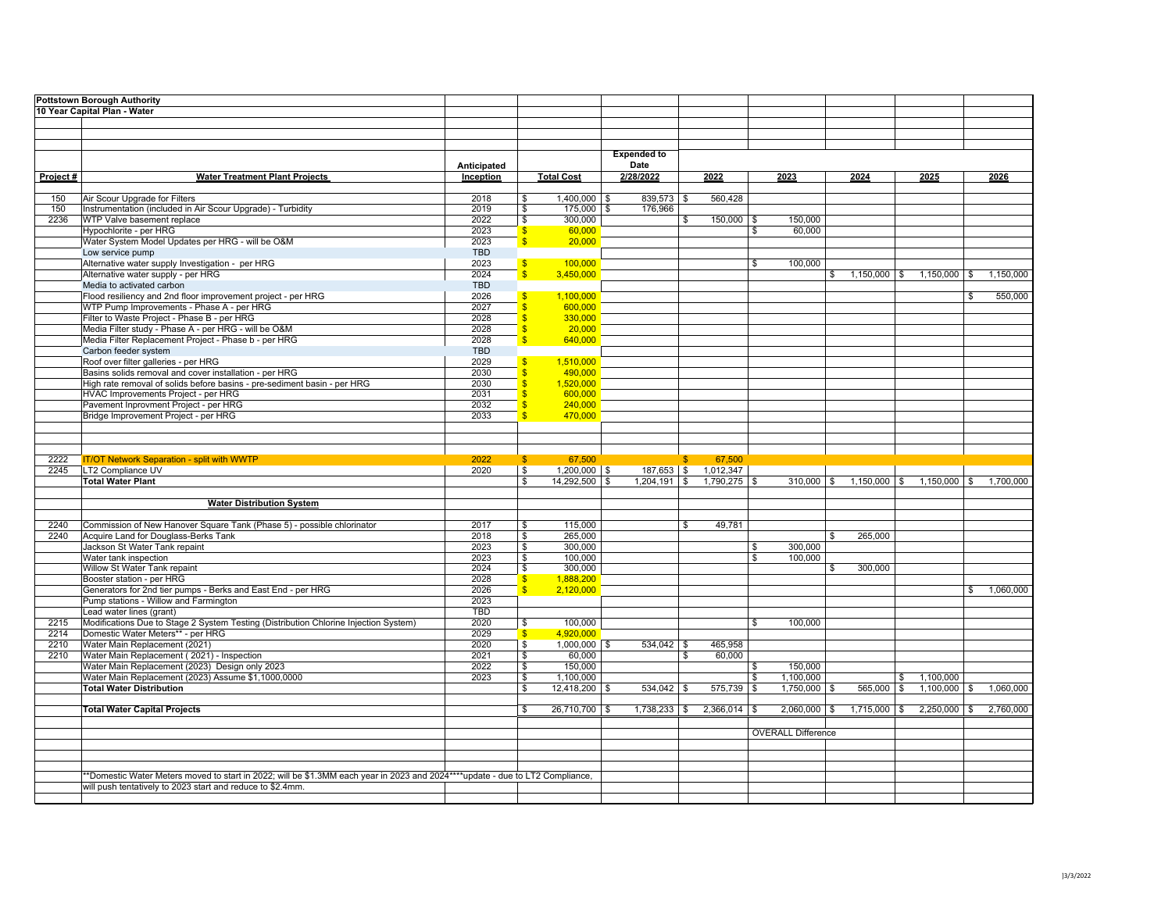|          | <b>Pottstown Borough Authority</b>                                                                                            |              |                               |                         |                    |                      |              |                           |                      |              |                                        |              |           |
|----------|-------------------------------------------------------------------------------------------------------------------------------|--------------|-------------------------------|-------------------------|--------------------|----------------------|--------------|---------------------------|----------------------|--------------|----------------------------------------|--------------|-----------|
|          | 10 Year Capital Plan - Water                                                                                                  |              |                               |                         |                    |                      |              |                           |                      |              |                                        |              |           |
|          |                                                                                                                               |              |                               |                         |                    |                      |              |                           |                      |              |                                        |              |           |
|          |                                                                                                                               |              |                               |                         |                    |                      |              |                           |                      |              |                                        |              |           |
|          |                                                                                                                               |              |                               |                         |                    |                      |              |                           |                      |              |                                        |              |           |
|          |                                                                                                                               |              |                               |                         | <b>Expended to</b> |                      |              |                           |                      |              |                                        |              |           |
|          |                                                                                                                               | Anticipated  |                               |                         | Date               |                      |              |                           |                      |              |                                        |              |           |
| Project# | <b>Water Treatment Plant Projects</b>                                                                                         | Inception    |                               | <b>Total Cost</b>       | 2/28/2022          | 2022                 |              | 2023                      | 2024                 |              | 2025                                   |              | 2026      |
|          |                                                                                                                               |              |                               |                         |                    |                      |              |                           |                      |              |                                        |              |           |
| 150      | Air Scour Upgrade for Filters                                                                                                 | 2018         | \$                            | $1,400,000$ \$          | $839,573$ \$       |                      | 560,428      |                           |                      |              |                                        |              |           |
| 150      | Instrumentation (included in Air Scour Upgrade) - Turbidity<br>WTP Valve basement replace                                     | 2019<br>2022 | \$                            | $175,000$ \$<br>300.000 | 176,966            |                      |              |                           |                      |              |                                        |              |           |
| 2236     |                                                                                                                               |              | $\frac{1}{2}$                 |                         |                    | \$                   | $150,000$ \$ | 150,000                   |                      |              |                                        |              |           |
|          | Hypochlorite - per HRG<br>Water System Model Updates per HRG - will be O&M                                                    | 2023<br>2023 | $\sqrt[6]{3}$<br>$\mathbf{s}$ | 60,000<br>20,000        |                    |                      |              | \$<br>60,000              |                      |              |                                        |              |           |
|          | Low service pump                                                                                                              | <b>TBD</b>   |                               |                         |                    |                      |              |                           |                      |              |                                        |              |           |
|          |                                                                                                                               |              |                               |                         |                    |                      |              |                           |                      |              |                                        |              |           |
|          | Alternative water supply Investigation - per HRG                                                                              | 2023<br>2024 | $\mathbf{s}$<br>$\mathbf{s}$  | 100,000<br>3,450,000    |                    |                      |              | \$<br>100,000             |                      |              |                                        |              | 1,150,000 |
|          | Alternative water supply - per HRG<br>Media to activated carbon                                                               | <b>TBD</b>   |                               |                         |                    |                      |              |                           | \$<br>$1,150,000$ \$ |              | $1,150,000$ \$                         |              |           |
|          |                                                                                                                               |              |                               |                         |                    |                      |              |                           |                      |              |                                        |              |           |
|          | Flood resiliency and 2nd floor improvement project - per HRG                                                                  | 2026         | $\mathbf{s}$                  | 1,100,000               |                    |                      |              |                           |                      |              |                                        | \$           | 550,000   |
|          | WTP Pump Improvements - Phase A - per HRG<br>Filter to Waste Project - Phase B - per HRG                                      | 2027<br>2028 | <sub>\$</sub>                 | 600,000<br>330,000      |                    |                      |              |                           |                      |              |                                        |              |           |
|          | Media Filter study - Phase A - per HRG - will be O&M                                                                          |              | $\overline{\mathbf{S}}$       |                         |                    |                      |              |                           |                      |              |                                        |              |           |
|          | Media Filter Replacement Project - Phase b - per HRG                                                                          | 2028<br>2028 | S                             | 20,000<br>640,000       |                    |                      |              |                           |                      |              |                                        |              |           |
|          | Carbon feeder system                                                                                                          | <b>TBD</b>   |                               |                         |                    |                      |              |                           |                      |              |                                        |              |           |
|          |                                                                                                                               |              |                               |                         |                    |                      |              |                           |                      |              |                                        |              |           |
|          | Roof over filter galleries - per HRG<br>Basins solids removal and cover installation - per HRG                                | 2029<br>2030 | $\mathbf{s}$                  | 1,510,000<br>490,000    |                    |                      |              |                           |                      |              |                                        |              |           |
|          | High rate removal of solids before basins - pre-sediment basin - per HRG                                                      | 2030         | <sub>S</sub>                  | 1,520,000               |                    |                      |              |                           |                      |              |                                        |              |           |
|          | HVAC Improvements Project - per HRG                                                                                           |              | <sub>S</sub>                  | 600.000                 |                    |                      |              |                           |                      |              |                                        |              |           |
|          | Pavement Inprovment Project - per HRG                                                                                         | 2031<br>2032 | \$                            | 240,000                 |                    |                      |              |                           |                      |              |                                        |              |           |
|          |                                                                                                                               | 2033         | $\overline{\mathbf{S}}$       | 470,000                 |                    |                      |              |                           |                      |              |                                        |              |           |
|          | Bridge Improvement Project - per HRG                                                                                          |              |                               |                         |                    |                      |              |                           |                      |              |                                        |              |           |
|          |                                                                                                                               |              |                               |                         |                    |                      |              |                           |                      |              |                                        |              |           |
|          |                                                                                                                               |              |                               |                         |                    |                      |              |                           |                      |              |                                        |              |           |
| 2222     | <b>IT/OT Network Separation - split with WWTP</b>                                                                             | 2022         | $\mathbf{\$}$                 | 67,500                  |                    | $\mathbf{s}$         | 67,500       |                           |                      |              |                                        |              |           |
| 2245     | LT2 Compliance UV                                                                                                             | 2020         | $\sqrt{s}$                    | 1,200,000 \$            |                    | 187,653 \$ 1,012,347 |              |                           |                      |              |                                        |              |           |
|          | <b>Total Water Plant</b>                                                                                                      |              | $\overline{\mathbf{s}}$       | 14,292,500 \$           | $1,204,191$ \$     | $1,790,275$ \$       |              |                           |                      |              | $310,000$ \$ 1,150,000 \$ 1,150,000 \$ |              | 1,700,000 |
|          |                                                                                                                               |              |                               |                         |                    |                      |              |                           |                      |              |                                        |              |           |
|          | <b>Water Distribution System</b>                                                                                              |              |                               |                         |                    |                      |              |                           |                      |              |                                        |              |           |
|          |                                                                                                                               |              |                               |                         |                    |                      |              |                           |                      |              |                                        |              |           |
| 2240     | Commission of New Hanover Square Tank (Phase 5) - possible chlorinator                                                        | 2017         | \$                            | 115,000                 |                    | s.                   | 49,781       |                           |                      |              |                                        |              |           |
| 2240     | Acquire Land for Douglass-Berks Tank                                                                                          | 2018         | \$                            | 265,000                 |                    |                      |              |                           | \$<br>265,000        |              |                                        |              |           |
|          | Jackson St Water Tank repaint                                                                                                 | 2023         | \$                            | 300,000                 |                    |                      |              | \$<br>300,000             |                      |              |                                        |              |           |
|          | Water tank inspection                                                                                                         | 2023         | $\mathbf{s}$                  | 100,000                 |                    |                      |              | \$<br>100,000             |                      |              |                                        |              |           |
|          | Willow St Water Tank repaint                                                                                                  | 2024         | $\boldsymbol{\theta}$         | 300,000                 |                    |                      |              |                           | \$<br>300,000        |              |                                        |              |           |
|          | Booster station - per HRG                                                                                                     | 2028         | $\mathbf{s}$                  | 1,888,200               |                    |                      |              |                           |                      |              |                                        |              |           |
|          | Generators for 2nd tier pumps - Berks and East End - per HRG                                                                  | 2026         | $\hat{\mathbf{s}}$            | 2,120,000               |                    |                      |              |                           |                      |              |                                        | $\mathbb{S}$ | 1,060,000 |
|          | Pump stations - Willow and Farmington                                                                                         | 2023         |                               |                         |                    |                      |              |                           |                      |              |                                        |              |           |
|          | Lead water lines (grant)                                                                                                      | <b>TBD</b>   |                               |                         |                    |                      |              |                           |                      |              |                                        |              |           |
| 2215     | Modifications Due to Stage 2 System Testing (Distribution Chlorine Injection System)                                          | 2020         | \$                            | 100,000                 |                    |                      |              | \$<br>100,000             |                      |              |                                        |              |           |
| 2214     | Domestic Water Meters** - per HRG                                                                                             | 2029         | $\mathbf{s}$                  | 4,920,000               |                    |                      |              |                           |                      |              |                                        |              |           |
| 2210     | Water Main Replacement (2021)                                                                                                 | 2020         | \$                            | $1,000,000$ \$          | $534,042$ \$       |                      | 465,958      |                           |                      |              |                                        |              |           |
| 2210     | Water Main Replacement (2021) - Inspection                                                                                    | 2021         | $\sqrt{3}$                    | 60,000                  |                    | \$                   | 60,000       |                           |                      |              |                                        |              |           |
|          | Water Main Replacement (2023) Design only 2023                                                                                | 2022         | $\overline{\mathbf{s}}$       | 150,000                 |                    |                      |              | \$<br>150,000             |                      |              |                                        |              |           |
|          | Water Main Replacement (2023) Assume \$1,1000,0000                                                                            | 2023         | $\sqrt{3}$                    | 1,100,000               |                    |                      |              | \$<br>1,100,000           |                      | $\mathbb{S}$ | 1,100,000                              |              |           |
|          |                                                                                                                               |              | S.                            | 12,418,200              | 534,042            |                      | 575,739 \$   | 1,750,000                 | $565,000$ \$         |              | 1,100,000                              | . ድ          | 1,060,000 |
|          | <b>Total Water Distribution</b>                                                                                               |              |                               |                         |                    |                      |              |                           |                      |              |                                        |              |           |
|          |                                                                                                                               |              |                               |                         |                    |                      |              |                           |                      |              |                                        |              |           |
|          | <b>Total Water Capital Projects</b>                                                                                           |              | ⊺\$                           | 26,710,700 \$           | $1,738,233$ \$     | $2,366,014$ \$       |              | $2,060,000$ \$            | $1,715,000$ \$       |              | $2,250,000$ \$                         |              | 2,760,000 |
|          |                                                                                                                               |              |                               |                         |                    |                      |              |                           |                      |              |                                        |              |           |
|          |                                                                                                                               |              |                               |                         |                    |                      |              | <b>OVERALL Difference</b> |                      |              |                                        |              |           |
|          |                                                                                                                               |              |                               |                         |                    |                      |              |                           |                      |              |                                        |              |           |
|          |                                                                                                                               |              |                               |                         |                    |                      |              |                           |                      |              |                                        |              |           |
|          |                                                                                                                               |              |                               |                         |                    |                      |              |                           |                      |              |                                        |              |           |
|          | **Domestic Water Meters moved to start in 2022; will be \$1.3MM each year in 2023 and 2024****update - due to LT2 Compliance, |              |                               |                         |                    |                      |              |                           |                      |              |                                        |              |           |
|          | will push tentatively to 2023 start and reduce to \$2.4mm.                                                                    |              |                               |                         |                    |                      |              |                           |                      |              |                                        |              |           |